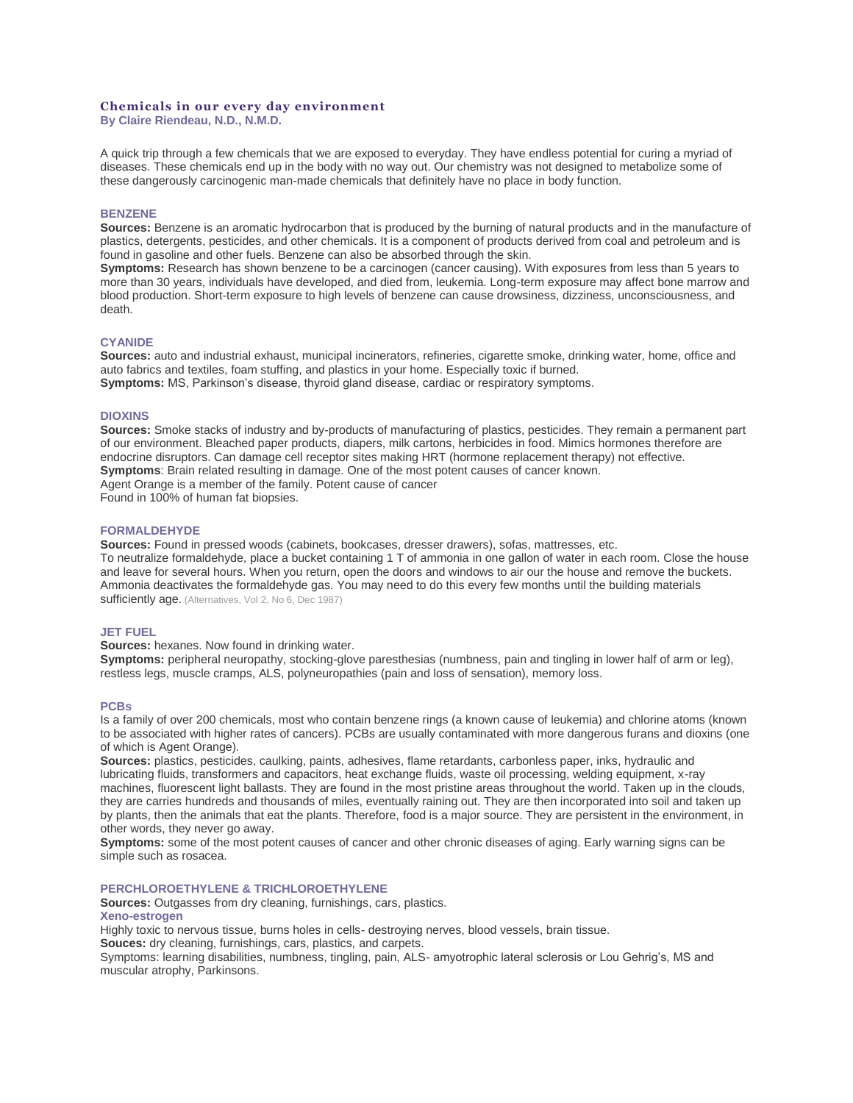# **Chemicals in our every day environment**

**By Claire Riendeau, N.D., N.M.D.**

A quick trip through a few chemicals that we are exposed to everyday. They have endless potential for curing a myriad of diseases. These chemicals end up in the body with no way out. Our chemistry was not designed to metabolize some of these dangerously carcinogenic man-made chemicals that definitely have no place in body function.

## **BENZENE**

**Sources:** Benzene is an aromatic hydrocarbon that is produced by the burning of natural products and in the manufacture of plastics, detergents, pesticides, and other chemicals. It is a component of products derived from coal and petroleum and is found in gasoline and other fuels. Benzene can also be absorbed through the skin.

**Symptoms:** Research has shown benzene to be a carcinogen (cancer causing). With exposures from less than 5 years to more than 30 years, individuals have developed, and died from, leukemia. Long-term exposure may affect bone marrow and blood production. Short-term exposure to high levels of benzene can cause drowsiness, dizziness, unconsciousness, and death.

#### **CYANIDE**

**Sources:** auto and industrial exhaust, municipal incinerators, refineries, cigarette smoke, drinking water, home, office and auto fabrics and textiles, foam stuffing, and plastics in your home. Especially toxic if burned. **Symptoms:** MS, Parkinson's disease, thyroid gland disease, cardiac or respiratory symptoms.

## **DIOXINS**

**Sources:** Smoke stacks of industry and by-products of manufacturing of plastics, pesticides. They remain a permanent part of our environment. Bleached paper products, diapers, milk cartons, herbicides in food. Mimics hormones therefore are endocrine disruptors. Can damage cell receptor sites making HRT (hormone replacement therapy) not effective. **Symptoms**: Brain related resulting in damage. One of the most potent causes of cancer known. Agent Orange is a member of the family. Potent cause of cancer Found in 100% of human fat biopsies.

**FORMALDEHYDE**

**Sources:** Found in pressed woods (cabinets, bookcases, dresser drawers), sofas, mattresses, etc. To neutralize formaldehyde, place a bucket containing 1 T of ammonia in one gallon of water in each room. Close the house and leave for several hours. When you return, open the doors and windows to air our the house and remove the buckets. Ammonia deactivates the formaldehyde gas. You may need to do this every few months until the building materials sufficiently age. (Alternatives, Vol 2, No 6, Dec 1987)

#### **JET FUEL**

**Sources:** hexanes. Now found in drinking water.

**Symptoms:** peripheral neuropathy, stocking-glove paresthesias (numbness, pain and tingling in lower half of arm or leg), restless legs, muscle cramps, ALS, polyneuropathies (pain and loss of sensation), memory loss.

#### **PCBs**

Is a family of over 200 chemicals, most who contain benzene rings (a known cause of leukemia) and chlorine atoms (known to be associated with higher rates of cancers). PCBs are usually contaminated with more dangerous furans and dioxins (one of which is Agent Orange).

**Sources:** plastics, pesticides, caulking, paints, adhesives, flame retardants, carbonless paper, inks, hydraulic and lubricating fluids, transformers and capacitors, heat exchange fluids, waste oil processing, welding equipment, x-ray machines, fluorescent light ballasts. They are found in the most pristine areas throughout the world. Taken up in the clouds, they are carries hundreds and thousands of miles, eventually raining out. They are then incorporated into soil and taken up by plants, then the animals that eat the plants. Therefore, food is a major source. They are persistent in the environment, in other words, they never go away.

**Symptoms:** some of the most potent causes of cancer and other chronic diseases of aging. Early warning signs can be simple such as rosacea.

## **PERCHLOROETHYLENE & TRICHLOROETHYLENE**

**Sources:** Outgasses from dry cleaning, furnishings, cars, plastics.

# **Xeno-estrogen**

Highly toxic to nervous tissue, burns holes in cells- destroying nerves, blood vessels, brain tissue.

**Souces:** dry cleaning, furnishings, cars, plastics, and carpets.

Symptoms: learning disabilities, numbness, tingling, pain, ALS- amyotrophic lateral sclerosis or Lou Gehrig's, MS and muscular atrophy, Parkinsons.